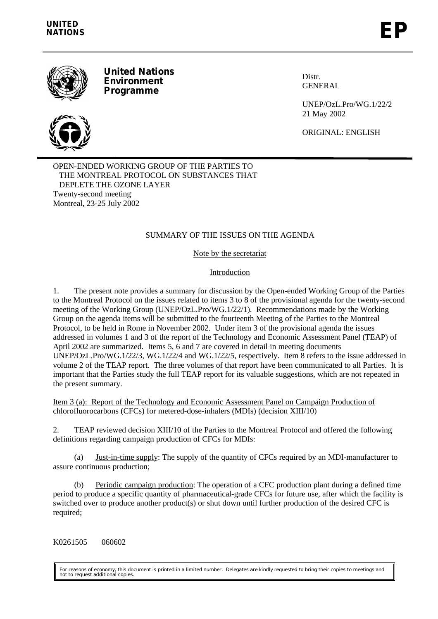

**United Nations Environment Programme**



UNEP/OzL.Pro/WG.1/22/2 21 May 2002

ORIGINAL: ENGLISH

Distr. **GENERAL** 

OPEN-ENDED WORKING GROUP OF THE PARTIES TO THE MONTREAL PROTOCOL ON SUBSTANCES THAT DEPLETE THE OZONE LAYER Twenty-second meeting Montreal, 23-25 July 2002

# SUMMARY OF THE ISSUES ON THE AGENDA

Note by the secretariat

Introduction

1. The present note provides a summary for discussion by the Open-ended Working Group of the Parties to the Montreal Protocol on the issues related to items 3 to 8 of the provisional agenda for the twenty-second meeting of the Working Group (UNEP/OzL.Pro/WG.1/22/1). Recommendations made by the Working Group on the agenda items will be submitted to the fourteenth Meeting of the Parties to the Montreal Protocol, to be held in Rome in November 2002. Under item 3 of the provisional agenda the issues addressed in volumes 1 and 3 of the report of the Technology and Economic Assessment Panel (TEAP) of April 2002 are summarized. Items 5, 6 and 7 are covered in detail in meeting documents UNEP/OzL.Pro/WG.1/22/3, WG.1/22/4 and WG.1/22/5, respectively. Item 8 refers to the issue addressed in volume 2 of the TEAP report. The three volumes of that report have been communicated to all Parties. It is important that the Parties study the full TEAP report for its valuable suggestions, which are not repeated in the present summary.

Item 3 (a): Report of the Technology and Economic Assessment Panel on Campaign Production of chlorofluorocarbons (CFCs) for metered-dose-inhalers (MDIs) (decision XIII/10)

2. TEAP reviewed decision XIII/10 of the Parties to the Montreal Protocol and offered the following definitions regarding campaign production of CFCs for MDIs:

(a) Just-in-time supply: The supply of the quantity of CFCs required by an MDI-manufacturer to assure continuous production;

(b) Periodic campaign production: The operation of a CFC production plant during a defined time period to produce a specific quantity of pharmaceutical-grade CFCs for future use, after which the facility is switched over to produce another product(s) or shut down until further production of the desired CFC is required;

K0261505 060602

For reasons of economy, this document is printed in a limited number. Delegates are kindly requested to bring their copies to meetings and not to request additional copies.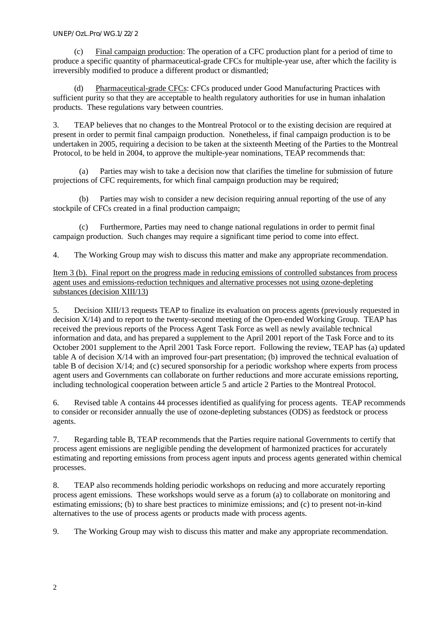(c) Final campaign production: The operation of a CFC production plant for a period of time to produce a specific quantity of pharmaceutical-grade CFCs for multiple-year use, after which the facility is irreversibly modified to produce a different product or dismantled;

(d) Pharmaceutical-grade CFCs: CFCs produced under Good Manufacturing Practices with sufficient purity so that they are acceptable to health regulatory authorities for use in human inhalation products. These regulations vary between countries.

3. TEAP believes that no changes to the Montreal Protocol or to the existing decision are required at present in order to permit final campaign production. Nonetheless, if final campaign production is to be undertaken in 2005, requiring a decision to be taken at the sixteenth Meeting of the Parties to the Montreal Protocol, to be held in 2004, to approve the multiple-year nominations, TEAP recommends that:

(a) Parties may wish to take a decision now that clarifies the timeline for submission of future projections of CFC requirements, for which final campaign production may be required;

(b) Parties may wish to consider a new decision requiring annual reporting of the use of any stockpile of CFCs created in a final production campaign;

(c) Furthermore, Parties may need to change national regulations in order to permit final campaign production. Such changes may require a significant time period to come into effect.

4. The Working Group may wish to discuss this matter and make any appropriate recommendation.

Item 3 (b). Final report on the progress made in reducing emissions of controlled substances from process agent uses and emissions-reduction techniques and alternative processes not using ozone-depleting substances (decision XIII/13)

5. Decision XIII/13 requests TEAP to finalize its evaluation on process agents (previously requested in decision X/14) and to report to the twenty-second meeting of the Open-ended Working Group. TEAP has received the previous reports of the Process Agent Task Force as well as newly available technical information and data, and has prepared a supplement to the April 2001 report of the Task Force and to its October 2001 supplement to the April 2001 Task Force report. Following the review, TEAP has (a) updated table A of decision X/14 with an improved four-part presentation; (b) improved the technical evaluation of table B of decision X/14; and (c) secured sponsorship for a periodic workshop where experts from process agent users and Governments can collaborate on further reductions and more accurate emissions reporting, including technological cooperation between article 5 and article 2 Parties to the Montreal Protocol.

6. Revised table A contains 44 processes identified as qualifying for process agents. TEAP recommends to consider or reconsider annually the use of ozone-depleting substances (ODS) as feedstock or process agents.

7. Regarding table B, TEAP recommends that the Parties require national Governments to certify that process agent emissions are negligible pending the development of harmonized practices for accurately estimating and reporting emissions from process agent inputs and process agents generated within chemical processes.

8. TEAP also recommends holding periodic workshops on reducing and more accurately reporting process agent emissions. These workshops would serve as a forum (a) to collaborate on monitoring and estimating emissions; (b) to share best practices to minimize emissions; and (c) to present not-in-kind alternatives to the use of process agents or products made with process agents.

9. The Working Group may wish to discuss this matter and make any appropriate recommendation.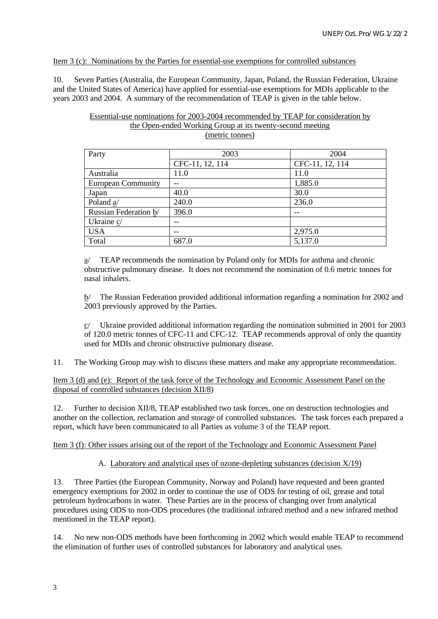#### Item 3 (c): Nominations by the Parties for essential-use exemptions for controlled substances

10. Seven Parties (Australia, the European Community, Japan, Poland, the Russian Federation, Ukraine and the United States of America) have applied for essential-use exemptions for MDIs applicable to the years 2003 and 2004. A summary of the recommendation of TEAP is given in the table below.

#### Essential-use nominations for 2003-2004 recommended by TEAP for consideration by the Open-ended Working Group at its twenty-second meeting (metric tonnes)

| Party                     | 2003            | 2004            |
|---------------------------|-----------------|-----------------|
|                           | CFC-11, 12, 114 | CFC-11, 12, 114 |
| Australia                 | 11.0            | 11.0            |
| <b>European Community</b> |                 | 1,885.0         |
| Japan                     | 40.0            | 30.0            |
| Poland a/                 | 240.0           | 236.0           |
| Russian Federation b/     | 396.0           |                 |
| Ukraine c/                |                 |                 |
| <b>USA</b>                | --              | 2,975.0         |
| Total                     | 687.0           | 5,137.0         |

a/ TEAP recommends the nomination by Poland only for MDIs for asthma and chronic obstructive pulmonary disease. It does not recommend the nomination of 0.6 metric tonnes for nasal inhalers.

b/ The Russian Federation provided additional information regarding a nomination for 2002 and 2003 previously approved by the Parties.

 $c$  Ukraine provided additional information regarding the nomination submitted in 2001 for 2003 of 120.0 metric tonnes of CFC-11 and CFC-12. TEAP recommends approval of only the quantity used for MDIs and chronic obstructive pulmonary disease.

11. The Working Group may wish to discuss these matters and make any appropriate recommendation.

#### Item 3 (d) and (e): Report of the task force of the Technology and Economic Assessment Panel on the disposal of controlled substances (decision XII/8)

12. Further to decision XII/8, TEAP established two task forces, one on destruction technologies and another on the collection, reclamation and storage of controlled substances. The task forces each prepared a report, which have been communicated to all Parties as volume 3 of the TEAP report.

# Item 3 (f): Other issues arising out of the report of the Technology and Economic Assessment Panel

# A. Laboratory and analytical uses of ozone-depleting substances (decision X/19)

13. Three Parties (the European Community, Norway and Poland) have requested and been granted emergency exemptions for 2002 in order to continue the use of ODS for testing of oil, grease and total petroleum hydrocarbons in water. These Parties are in the process of changing over from analytical procedures using ODS to non-ODS procedures (the traditional infrared method and a new infrared method mentioned in the TEAP report).

14. No new non-ODS methods have been forthcoming in 2002 which would enable TEAP to recommend the elimination of further uses of controlled substances for laboratory and analytical uses.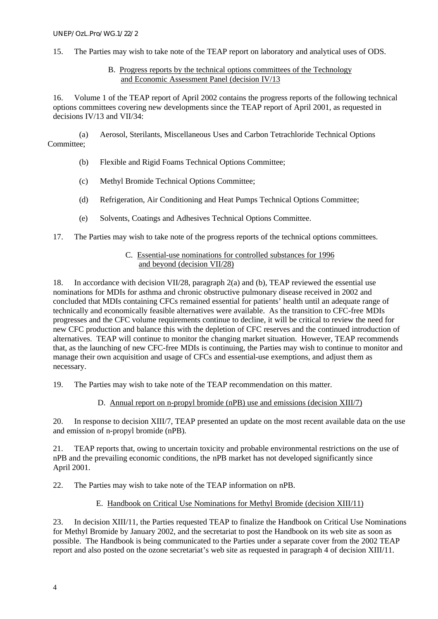- 15. The Parties may wish to take note of the TEAP report on laboratory and analytical uses of ODS.
	- B. Progress reports by the technical options committees of the Technology and Economic Assessment Panel (decision IV/13

16. Volume 1 of the TEAP report of April 2002 contains the progress reports of the following technical options committees covering new developments since the TEAP report of April 2001, as requested in decisions IV/13 and VII/34:

(a) Aerosol, Sterilants, Miscellaneous Uses and Carbon Tetrachloride Technical Options Committee;

- (b) Flexible and Rigid Foams Technical Options Committee;
- (c) Methyl Bromide Technical Options Committee;
- (d) Refrigeration, Air Conditioning and Heat Pumps Technical Options Committee;
- (e) Solvents, Coatings and Adhesives Technical Options Committee.
- 17. The Parties may wish to take note of the progress reports of the technical options committees.

# C. Essential-use nominations for controlled substances for 1996 and beyond (decision VII/28)

18. In accordance with decision VII/28, paragraph 2(a) and (b), TEAP reviewed the essential use nominations for MDIs for asthma and chronic obstructive pulmonary disease received in 2002 and concluded that MDIs containing CFCs remained essential for patients' health until an adequate range of technically and economically feasible alternatives were available. As the transition to CFC-free MDIs progresses and the CFC volume requirements continue to decline, it will be critical to review the need for new CFC production and balance this with the depletion of CFC reserves and the continued introduction of alternatives. TEAP will continue to monitor the changing market situation. However, TEAP recommends that, as the launching of new CFC-free MDIs is continuing, the Parties may wish to continue to monitor and manage their own acquisition and usage of CFCs and essential-use exemptions, and adjust them as necessary.

19. The Parties may wish to take note of the TEAP recommendation on this matter.

D. Annual report on n-propyl bromide (nPB) use and emissions (decision XIII/7)

20. In response to decision XIII/7, TEAP presented an update on the most recent available data on the use and emission of n-propyl bromide (nPB).

21. TEAP reports that, owing to uncertain toxicity and probable environmental restrictions on the use of nPB and the prevailing economic conditions, the nPB market has not developed significantly since April 2001.

22. The Parties may wish to take note of the TEAP information on nPB.

# E. Handbook on Critical Use Nominations for Methyl Bromide (decision XIII/11)

23. In decision XIII/11, the Parties requested TEAP to finalize the Handbook on Critical Use Nominations for Methyl Bromide by January 2002, and the secretariat to post the Handbook on its web site as soon as possible. The Handbook is being communicated to the Parties under a separate cover from the 2002 TEAP report and also posted on the ozone secretariat's web site as requested in paragraph 4 of decision XIII/11.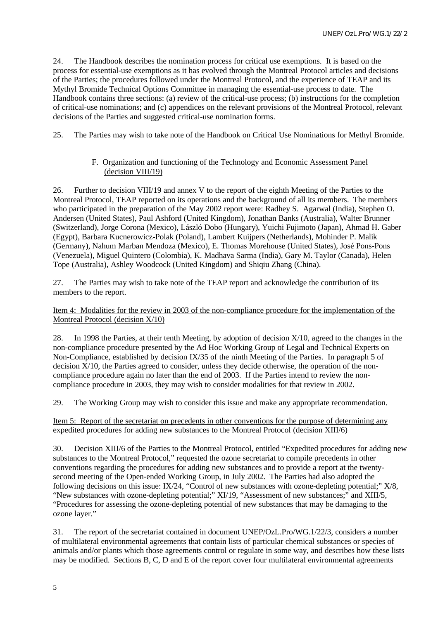24. The Handbook describes the nomination process for critical use exemptions. It is based on the process for essential-use exemptions as it has evolved through the Montreal Protocol articles and decisions of the Parties; the procedures followed under the Montreal Protocol, and the experience of TEAP and its Mythyl Bromide Technical Options Committee in managing the essential-use process to date. The Handbook contains three sections: (a) review of the critical-use process; (b) instructions for the completion of critical-use nominations; and (c) appendices on the relevant provisions of the Montreal Protocol, relevant decisions of the Parties and suggested critical-use nomination forms.

25. The Parties may wish to take note of the Handbook on Critical Use Nominations for Methyl Bromide.

# F. Organization and functioning of the Technology and Economic Assessment Panel (decision VIII/19)

26. Further to decision VIII/19 and annex V to the report of the eighth Meeting of the Parties to the Montreal Protocol, TEAP reported on its operations and the background of all its members. The members who participated in the preparation of the May 2002 report were: Radhey S. Agarwal (India), Stephen O. Andersen (United States), Paul Ashford (United Kingdom), Jonathan Banks (Australia), Walter Brunner (Switzerland), Jorge Corona (Mexico), László Dobo (Hungary), Yuichi Fujimoto (Japan), Ahmad H. Gaber (Egypt), Barbara Kucnerowicz-Polak (Poland), Lambert Kuijpers (Netherlands), Mohinder P. Malik (Germany), Nahum Marban Mendoza (Mexico), E. Thomas Morehouse (United States), José Pons-Pons (Venezuela), Miguel Quintero (Colombia), K. Madhava Sarma (India), Gary M. Taylor (Canada), Helen Tope (Australia), Ashley Woodcock (United Kingdom) and Shiqiu Zhang (China).

27. The Parties may wish to take note of the TEAP report and acknowledge the contribution of its members to the report.

#### Item 4: Modalities for the review in 2003 of the non-compliance procedure for the implementation of the Montreal Protocol (decision X/10)

28. In 1998 the Parties, at their tenth Meeting, by adoption of decision X/10, agreed to the changes in the non-compliance procedure presented by the Ad Hoc Working Group of Legal and Technical Experts on Non-Compliance, established by decision IX/35 of the ninth Meeting of the Parties. In paragraph 5 of decision  $\bar{X}/10$ , the Parties agreed to consider, unless they decide otherwise, the operation of the noncompliance procedure again no later than the end of 2003. If the Parties intend to review the noncompliance procedure in 2003, they may wish to consider modalities for that review in 2002.

29. The Working Group may wish to consider this issue and make any appropriate recommendation.

#### Item 5: Report of the secretariat on precedents in other conventions for the purpose of determining any expedited procedures for adding new substances to the Montreal Protocol (decision XIII/6)

30. Decision XIII/6 of the Parties to the Montreal Protocol, entitled "Expedited procedures for adding new substances to the Montreal Protocol," requested the ozone secretariat to compile precedents in other conventions regarding the procedures for adding new substances and to provide a report at the twentysecond meeting of the Open-ended Working Group, in July 2002. The Parties had also adopted the following decisions on this issue: IX/24, "Control of new substances with ozone-depleting potential;" X/8, "New substances with ozone-depleting potential;" XI/19, "Assessment of new substances;" and XIII/5, "Procedures for assessing the ozone-depleting potential of new substances that may be damaging to the ozone layer."

31. The report of the secretariat contained in document UNEP/OzL.Pro/WG.1/22/3, considers a number of multilateral environmental agreements that contain lists of particular chemical substances or species of animals and/or plants which those agreements control or regulate in some way, and describes how these lists may be modified. Sections B, C, D and E of the report cover four multilateral environmental agreements